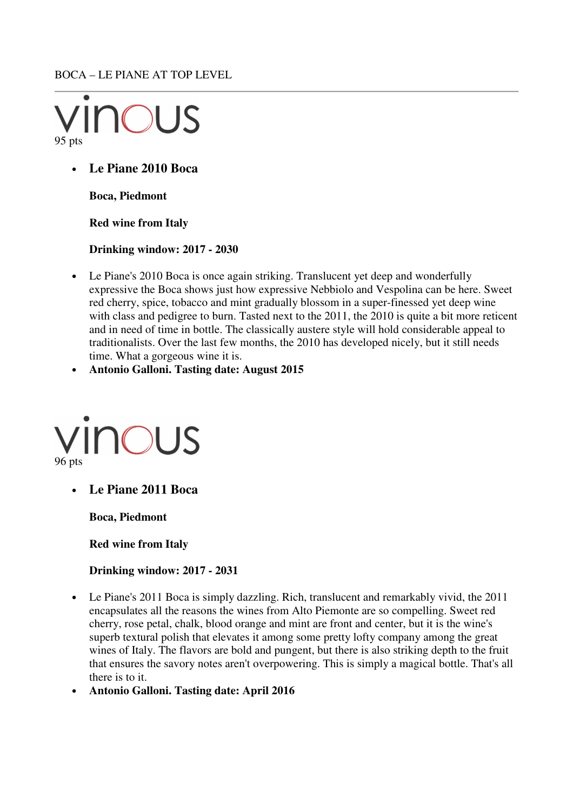BOCA – LE PIANE AT TOP LEVEL



• **Le Piane 2010 Boca** 

**Boca, Piedmont** 

**Red wine from Italy** 

**Drinking window: 2017 - 2030** 

- Le Piane's 2010 Boca is once again striking. Translucent yet deep and wonderfully expressive the Boca shows just how expressive Nebbiolo and Vespolina can be here. Sweet red cherry, spice, tobacco and mint gradually blossom in a super-finessed yet deep wine with class and pedigree to burn. Tasted next to the 2011, the 2010 is quite a bit more reticent and in need of time in bottle. The classically austere style will hold considerable appeal to traditionalists. Over the last few months, the 2010 has developed nicely, but it still needs time. What a gorgeous wine it is.
- **Antonio Galloni. Tasting date: August 2015**



• **Le Piane 2011 Boca** 

**Boca, Piedmont** 

**Red wine from Italy** 

**Drinking window: 2017 - 2031** 

- Le Piane's 2011 Boca is simply dazzling. Rich, translucent and remarkably vivid, the 2011 encapsulates all the reasons the wines from Alto Piemonte are so compelling. Sweet red cherry, rose petal, chalk, blood orange and mint are front and center, but it is the wine's superb textural polish that elevates it among some pretty lofty company among the great wines of Italy. The flavors are bold and pungent, but there is also striking depth to the fruit that ensures the savory notes aren't overpowering. This is simply a magical bottle. That's all there is to it.
- **Antonio Galloni. Tasting date: April 2016**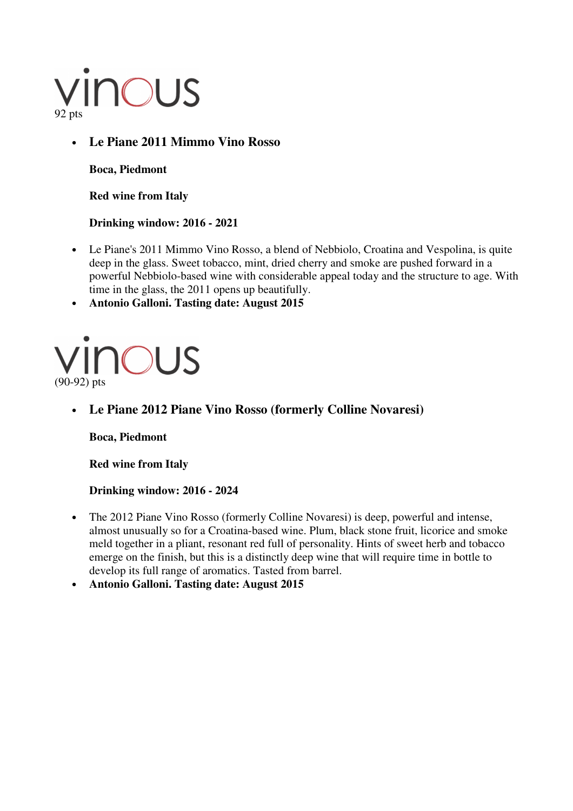# VINOUS

### • **Le Piane 2011 Mimmo Vino Rosso**

**Boca, Piedmont** 

**Red wine from Italy** 

#### **Drinking window: 2016 - 2021**

• Le Piane's 2011 Mimmo Vino Rosso, a blend of Nebbiolo, Croatina and Vespolina, is quite deep in the glass. Sweet tobacco, mint, dried cherry and smoke are pushed forward in a powerful Nebbiolo-based wine with considerable appeal today and the structure to age. With time in the glass, the 2011 opens up beautifully.

• **Antonio Galloni. Tasting date: August 2015** 



#### • **Le Piane 2012 Piane Vino Rosso (formerly Colline Novaresi)**

**Boca, Piedmont** 

**Red wine from Italy** 

**Drinking window: 2016 - 2024** 

- The 2012 Piane Vino Rosso (formerly Colline Novaresi) is deep, powerful and intense, almost unusually so for a Croatina-based wine. Plum, black stone fruit, licorice and smoke meld together in a pliant, resonant red full of personality. Hints of sweet herb and tobacco emerge on the finish, but this is a distinctly deep wine that will require time in bottle to develop its full range of aromatics. Tasted from barrel.
- **Antonio Galloni. Tasting date: August 2015**